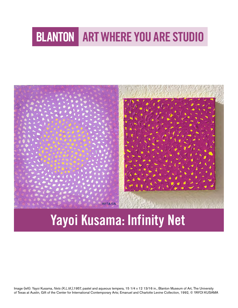# **BLANTON ART WHERE YOU ARE STUDIO**



# Yayoi Kusama: Infinity Net

Image (left): Yayoi Kusama, *Nets (K.L.M.)*,1957, pastel and aqueous tempera, 15 1/4 x 12 13/16 in., Blanton Museum of Art, The University of Texas at Austin, Gift of the Center for International Contemporary Arts; Emanuel and Charlotte Levine Collection, 1992, ©️ YAYOI KUSAMA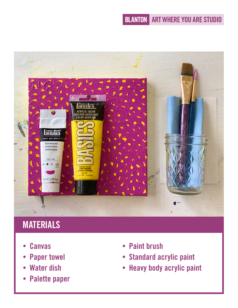

# **MATERIALS**

- **Canvas**
- Paper towel
- Water dish
- Palette paper
- Paint brush
- Standard acrylic paint
- Heavy body acrylic paint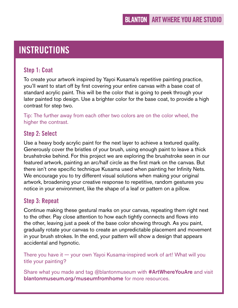## **INSTRUCTIONS**

#### Step 1: Coat

To create your artwork inspired by Yayoi Kusama's repetitive painting practice, you'll want to start off by first covering your entire canvas with a base coat of standard acrylic paint. This will be the color that is going to peek through your later painted top design. Use a brighter color for the base coat, to provide a high contrast for step two.

Tip: The further away from each other two colors are on the color wheel, the higher the contrast.

#### Step 2: Select

Use a heavy body acrylic paint for the next layer to achieve a textured quality. Generously cover the bristles of your brush, using enough paint to leave a thick brushstroke behind. For this project we are exploring the brushstroke seen in our featured artwork, painting an arc/half circle as the first mark on the canvas. But there isn't one specific technique Kusama used when painting her Infinity Nets. We encourage you to try different visual solutions when making your original artwork, broadening your creative response to repetitive, random gestures you notice in your environment, like the shape of a leaf or pattern on a pillow.

#### Step 3: Repeat

Continue making these gestural marks on your canvas, repeating them right next to the other. Pay close attention to how each tightly connects and flows into the other, leaving just a peek of the base color showing through. As you paint, gradually rotate your canvas to create an unpredictable placement and movement in your brush strokes. In the end, your pattern will show a design that appears accidental and hypnotic.

There you have it — your own Yayoi Kusama-inspired work of art! What will you title your painting?

Share what you made and tag @blantonmuseum with **#ArtWhereYouAre** and visit [blantonmuseum.org/museumfromhome](http://blantonmuseum.org/museumfromhome) for more resources.